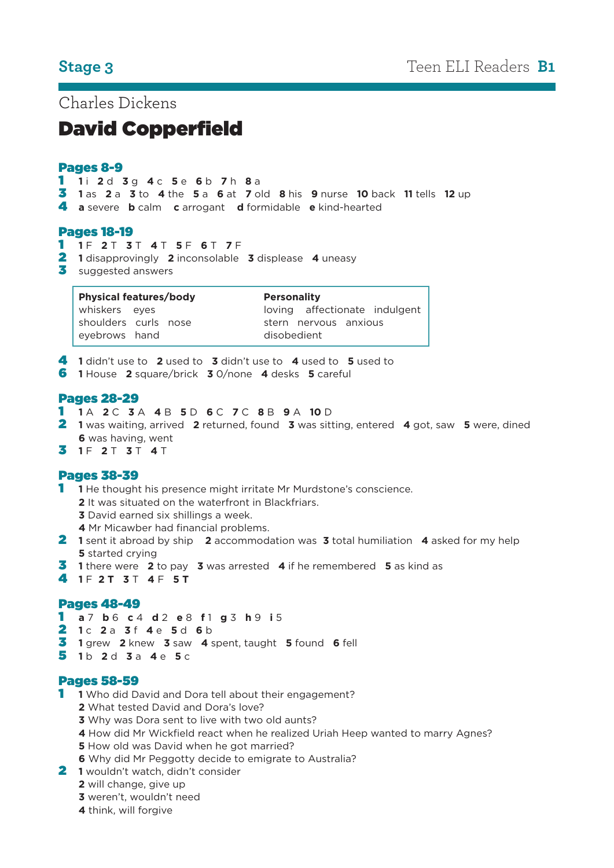Charles Dickens

# David Copperfield

#### Pages 8-9

**1** i **2** d **3** g **4** c **5** e **6** b **7** h **8** a

- **1** as **2** a **3** to **4** the **5** a **6** at **7** old **8** his **9** nurse **10** back **11** tells **12** up
- **a** severe **b** calm **c** arrogant **d** formidable **e** kind-hearted

### Pages 18-19

- **1** F **2** T **3** T **4** T **5** F **6** T **7** F
- **1** disapprovingly **2** inconsolable **3** displease **4** uneasy
- suggested answers

| <b>Physical features/body</b> | <b>Personality</b>            |  |
|-------------------------------|-------------------------------|--|
| whiskers eyes                 | loving affectionate indulgent |  |
| shoulders curls nose          | stern nervous anxious         |  |
| eyebrows hand                 | disobedient                   |  |

- **1** didn't use to **2** used to **3** didn't use to **4** used to **5** used to
- **1** House **2** square/brick **3** 0/none **4** desks **5** careful

### Pages 28-29

#### **1** A **2** C **3** A **4** B **5** D **6** C **7** C **8** B **9** A **10** D

- **1** was waiting, arrived **2** returned, found **3** was sitting, entered **4** got, saw **5** were, dined was having, went
- **1** F **2** T **3** T **4** T

# Pages 38-39

- **1** He thought his presence might irritate Mr Murdstone's conscience.
	- It was situated on the waterfront in Blackfriars.
	- David earned six shillings a week.
	- Mr Micawber had financial problems.
- **1** sent it abroad by ship **2** accommodation was **3** total humiliation **4** asked for my help started crying
- **1** there were **2** to pay **3** was arrested **4** if he remembered **5** as kind as
- **1** F **2 T 3** T **4** F **5 T**

#### Pages 48-49

- **a** 7 **b** 6 **c** 4 **d** 2 **e** 8 **f** 1 **g** 3 **h** 9 **i** 5
- **1** c **2** a **3** f **4** e **5** d **6** b
- **1** grew **2** knew **3** saw **4** spent, taught **5** found **6** fell
- **1** b **2** d **3** a **4** e **5** c

#### Pages 58-59

- **1** Who did David and Dora tell about their engagement?
	- What tested David and Dora's love?
	- Why was Dora sent to live with two old aunts?
	- How did Mr Wickfield react when he realized Uriah Heep wanted to marry Agnes?
	- How old was David when he got married?
	- Why did Mr Peggotty decide to emigrate to Australia?
- **1** wouldn't watch, didn't consider
	- will change, give up
	- weren't, wouldn't need
	- think, will forgive